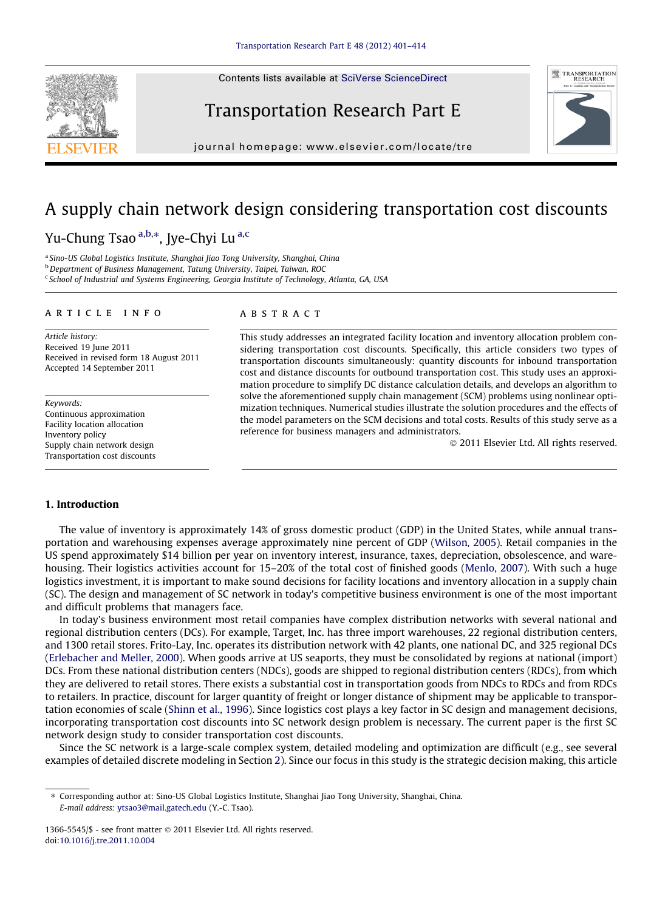Contents lists available at [SciVerse ScienceDirect](http://www.sciencedirect.com/science/journal/13665545)







journal homepage: [www.elsevier.com/locate/tre](http://www.elsevier.com/locate/tre)

# A supply chain network design considering transportation cost discounts Yu-Chung Tsao <sup>a,b,</sup>\*, Jye-Chyi Lu <sup>a,c</sup>

<sup>a</sup> Sino-US Global Logistics Institute, Shanghai Jiao Tong University, Shanghai, China b Department of Business Management, Tatung University, Taipei, Taiwan, ROC

<sup>c</sup> School of Industrial and Systems Engineering, Georgia Institute of Technology, Atlanta, GA, USA

#### article info

Article history: Received 19 June 2011 Received in revised form 18 August 2011 Accepted 14 September 2011

Keywords: Continuous approximation Facility location allocation Inventory policy Supply chain network design Transportation cost discounts

### **ABSTRACT**

This study addresses an integrated facility location and inventory allocation problem considering transportation cost discounts. Specifically, this article considers two types of transportation discounts simultaneously: quantity discounts for inbound transportation cost and distance discounts for outbound transportation cost. This study uses an approximation procedure to simplify DC distance calculation details, and develops an algorithm to solve the aforementioned supply chain management (SCM) problems using nonlinear optimization techniques. Numerical studies illustrate the solution procedures and the effects of the model parameters on the SCM decisions and total costs. Results of this study serve as a reference for business managers and administrators.

- 2011 Elsevier Ltd. All rights reserved.

#### 1. Introduction

The value of inventory is approximately 14% of gross domestic product (GDP) in the United States, while annual transportation and warehousing expenses average approximately nine percent of GDP [\(Wilson, 2005\)](#page--1-0). Retail companies in the US spend approximately \$14 billion per year on inventory interest, insurance, taxes, depreciation, obsolescence, and warehousing. Their logistics activities account for 15–20% of the total cost of finished goods [\(Menlo, 2007\)](#page--1-0). With such a huge logistics investment, it is important to make sound decisions for facility locations and inventory allocation in a supply chain (SC). The design and management of SC network in today's competitive business environment is one of the most important and difficult problems that managers face.

In today's business environment most retail companies have complex distribution networks with several national and regional distribution centers (DCs). For example, Target, Inc. has three import warehouses, 22 regional distribution centers, and 1300 retail stores. Frito-Lay, Inc. operates its distribution network with 42 plants, one national DC, and 325 regional DCs ([Erlebacher and Meller, 2000\)](#page--1-0). When goods arrive at US seaports, they must be consolidated by regions at national (import) DCs. From these national distribution centers (NDCs), goods are shipped to regional distribution centers (RDCs), from which they are delivered to retail stores. There exists a substantial cost in transportation goods from NDCs to RDCs and from RDCs to retailers. In practice, discount for larger quantity of freight or longer distance of shipment may be applicable to transportation economies of scale [\(Shinn et al., 1996\)](#page--1-0). Since logistics cost plays a key factor in SC design and management decisions, incorporating transportation cost discounts into SC network design problem is necessary. The current paper is the first SC network design study to consider transportation cost discounts.

Since the SC network is a large-scale complex system, detailed modeling and optimization are difficult (e.g., see several examples of detailed discrete modeling in Section 2). Since our focus in this study is the strategic decision making, this article

1366-5545/\$ - see front matter  $\odot$  2011 Elsevier Ltd. All rights reserved. doi:[10.1016/j.tre.2011.10.004](http://dx.doi.org/10.1016/j.tre.2011.10.004)

<sup>⇑</sup> Corresponding author at: Sino-US Global Logistics Institute, Shanghai Jiao Tong University, Shanghai, China. E-mail address: [ytsao3@mail.gatech.edu](mailto:ytsao3@mail.gatech.edu) (Y.-C. Tsao).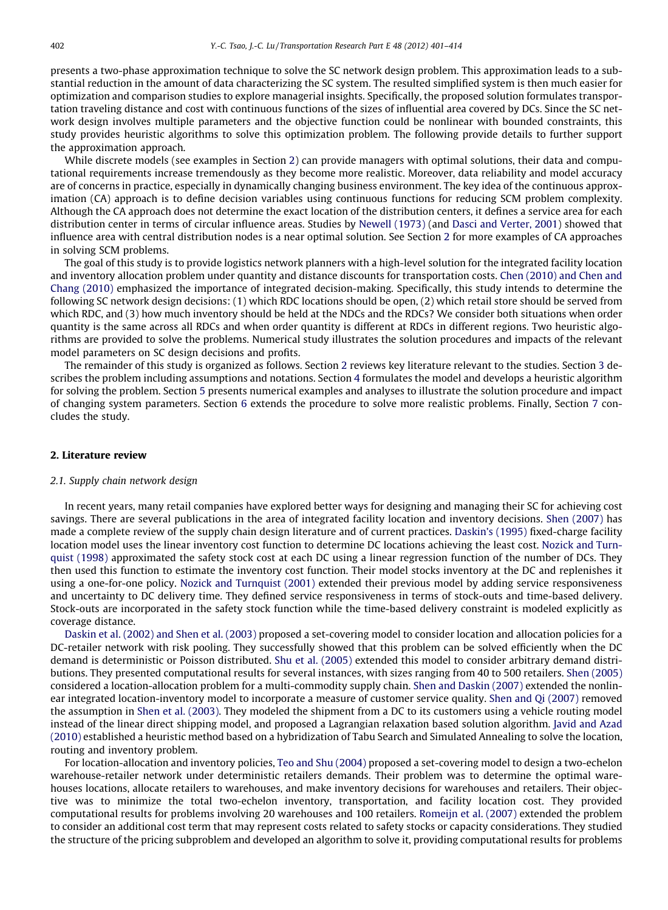presents a two-phase approximation technique to solve the SC network design problem. This approximation leads to a substantial reduction in the amount of data characterizing the SC system. The resulted simplified system is then much easier for optimization and comparison studies to explore managerial insights. Specifically, the proposed solution formulates transportation traveling distance and cost with continuous functions of the sizes of influential area covered by DCs. Since the SC network design involves multiple parameters and the objective function could be nonlinear with bounded constraints, this study provides heuristic algorithms to solve this optimization problem. The following provide details to further support the approximation approach.

While discrete models (see examples in Section 2) can provide managers with optimal solutions, their data and computational requirements increase tremendously as they become more realistic. Moreover, data reliability and model accuracy are of concerns in practice, especially in dynamically changing business environment. The key idea of the continuous approximation (CA) approach is to define decision variables using continuous functions for reducing SCM problem complexity. Although the CA approach does not determine the exact location of the distribution centers, it defines a service area for each distribution center in terms of circular influence areas. Studies by [Newell \(1973\)](#page--1-0) (and [Dasci and Verter, 2001\)](#page--1-0) showed that influence area with central distribution nodes is a near optimal solution. See Section 2 for more examples of CA approaches in solving SCM problems.

The goal of this study is to provide logistics network planners with a high-level solution for the integrated facility location and inventory allocation problem under quantity and distance discounts for transportation costs. [Chen \(2010\) and Chen and](#page--1-0) [Chang \(2010\)](#page--1-0) emphasized the importance of integrated decision-making. Specifically, this study intends to determine the following SC network design decisions: (1) which RDC locations should be open, (2) which retail store should be served from which RDC, and (3) how much inventory should be held at the NDCs and the RDCs? We consider both situations when order quantity is the same across all RDCs and when order quantity is different at RDCs in different regions. Two heuristic algorithms are provided to solve the problems. Numerical study illustrates the solution procedures and impacts of the relevant model parameters on SC design decisions and profits.

The remainder of this study is organized as follows. Section 2 reviews key literature relevant to the studies. Section 3 describes the problem including assumptions and notations. Section 4 formulates the model and develops a heuristic algorithm for solving the problem. Section 5 presents numerical examples and analyses to illustrate the solution procedure and impact of changing system parameters. Section 6 extends the procedure to solve more realistic problems. Finally, Section 7 concludes the study.

#### 2. Literature review

#### 2.1. Supply chain network design

In recent years, many retail companies have explored better ways for designing and managing their SC for achieving cost savings. There are several publications in the area of integrated facility location and inventory decisions. [Shen \(2007\)](#page--1-0) has made a complete review of the supply chain design literature and of current practices. [Daskin's \(1995\)](#page--1-0) fixed-charge facility location model uses the linear inventory cost function to determine DC locations achieving the least cost. [Nozick and Turn](#page--1-0)[quist \(1998\)](#page--1-0) approximated the safety stock cost at each DC using a linear regression function of the number of DCs. They then used this function to estimate the inventory cost function. Their model stocks inventory at the DC and replenishes it using a one-for-one policy. [Nozick and Turnquist \(2001\)](#page--1-0) extended their previous model by adding service responsiveness and uncertainty to DC delivery time. They defined service responsiveness in terms of stock-outs and time-based delivery. Stock-outs are incorporated in the safety stock function while the time-based delivery constraint is modeled explicitly as coverage distance.

[Daskin et al. \(2002\) and Shen et al. \(2003\)](#page--1-0) proposed a set-covering model to consider location and allocation policies for a DC-retailer network with risk pooling. They successfully showed that this problem can be solved efficiently when the DC demand is deterministic or Poisson distributed. [Shu et al. \(2005\)](#page--1-0) extended this model to consider arbitrary demand distributions. They presented computational results for several instances, with sizes ranging from 40 to 500 retailers. [Shen \(2005\)](#page--1-0) considered a location-allocation problem for a multi-commodity supply chain. [Shen and Daskin \(2007\)](#page--1-0) extended the nonlinear integrated location-inventory model to incorporate a measure of customer service quality. [Shen and Qi \(2007\)](#page--1-0) removed the assumption in [Shen et al. \(2003\)](#page--1-0). They modeled the shipment from a DC to its customers using a vehicle routing model instead of the linear direct shipping model, and proposed a Lagrangian relaxation based solution algorithm. [Javid and Azad](#page--1-0) [\(2010\)](#page--1-0) established a heuristic method based on a hybridization of Tabu Search and Simulated Annealing to solve the location, routing and inventory problem.

For location-allocation and inventory policies, [Teo and Shu \(2004\)](#page--1-0) proposed a set-covering model to design a two-echelon warehouse-retailer network under deterministic retailers demands. Their problem was to determine the optimal warehouses locations, allocate retailers to warehouses, and make inventory decisions for warehouses and retailers. Their objective was to minimize the total two-echelon inventory, transportation, and facility location cost. They provided computational results for problems involving 20 warehouses and 100 retailers. [Romeijn et al. \(2007\)](#page--1-0) extended the problem to consider an additional cost term that may represent costs related to safety stocks or capacity considerations. They studied the structure of the pricing subproblem and developed an algorithm to solve it, providing computational results for problems